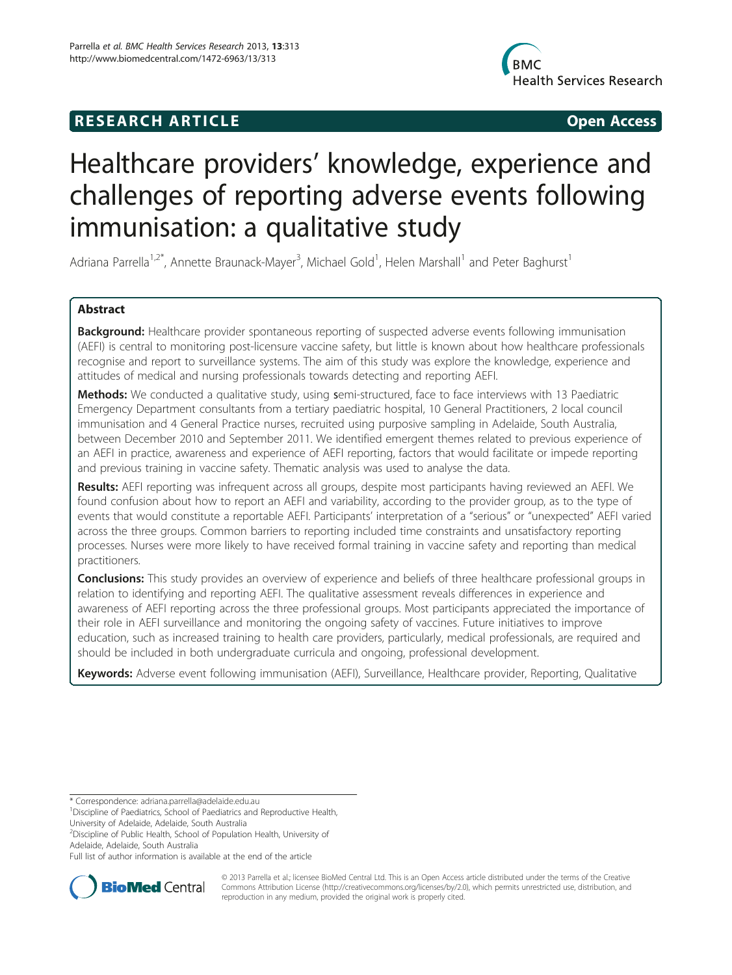# **RESEARCH ARTICLE Example 2018 12:00 Open Access**



# Healthcare providers' knowledge, experience and challenges of reporting adverse events following immunisation: a qualitative study

Adriana Parrella<sup>1,2\*</sup>, Annette Braunack-Mayer<sup>3</sup>, Michael Gold<sup>1</sup>, Helen Marshall<sup>1</sup> and Peter Baghurst<sup>1</sup>

# Abstract

Background: Healthcare provider spontaneous reporting of suspected adverse events following immunisation (AEFI) is central to monitoring post-licensure vaccine safety, but little is known about how healthcare professionals recognise and report to surveillance systems. The aim of this study was explore the knowledge, experience and attitudes of medical and nursing professionals towards detecting and reporting AEFI.

Methods: We conducted a qualitative study, using semi-structured, face to face interviews with 13 Paediatric Emergency Department consultants from a tertiary paediatric hospital, 10 General Practitioners, 2 local council immunisation and 4 General Practice nurses, recruited using purposive sampling in Adelaide, South Australia, between December 2010 and September 2011. We identified emergent themes related to previous experience of an AEFI in practice, awareness and experience of AEFI reporting, factors that would facilitate or impede reporting and previous training in vaccine safety. Thematic analysis was used to analyse the data.

Results: AEFI reporting was infrequent across all groups, despite most participants having reviewed an AEFI. We found confusion about how to report an AEFI and variability, according to the provider group, as to the type of events that would constitute a reportable AEFI. Participants' interpretation of a "serious" or "unexpected" AEFI varied across the three groups. Common barriers to reporting included time constraints and unsatisfactory reporting processes. Nurses were more likely to have received formal training in vaccine safety and reporting than medical practitioners.

**Conclusions:** This study provides an overview of experience and beliefs of three healthcare professional groups in relation to identifying and reporting AEFI. The qualitative assessment reveals differences in experience and awareness of AEFI reporting across the three professional groups. Most participants appreciated the importance of their role in AEFI surveillance and monitoring the ongoing safety of vaccines. Future initiatives to improve education, such as increased training to health care providers, particularly, medical professionals, are required and should be included in both undergraduate curricula and ongoing, professional development.

Keywords: Adverse event following immunisation (AEFI), Surveillance, Healthcare provider, Reporting, Qualitative

\* Correspondence: [adriana.parrella@adelaide.edu.au](mailto:adriana.parrella@adelaide.edu.au) <sup>1</sup>

<sup>2</sup> Discipline of Public Health, School of Population Health, University of Adelaide, Adelaide, South Australia

Full list of author information is available at the end of the article



© 2013 Parrella et al.; licensee BioMed Central Ltd. This is an Open Access article distributed under the terms of the Creative Commons Attribution License [\(http://creativecommons.org/licenses/by/2.0\)](http://creativecommons.org/licenses/by/2.0), which permits unrestricted use, distribution, and reproduction in any medium, provided the original work is properly cited.

<sup>&</sup>lt;sup>1</sup>Discipline of Paediatrics, School of Paediatrics and Reproductive Health, University of Adelaide, Adelaide, South Australia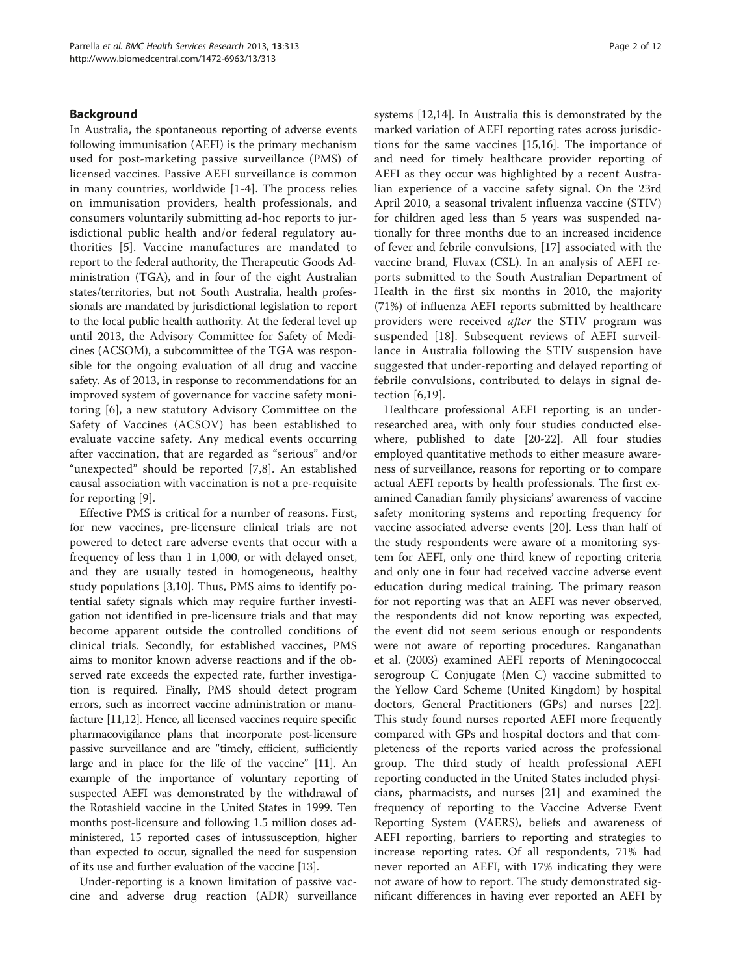# Background

In Australia, the spontaneous reporting of adverse events following immunisation (AEFI) is the primary mechanism used for post-marketing passive surveillance (PMS) of licensed vaccines. Passive AEFI surveillance is common in many countries, worldwide [[1-4](#page-10-0)]. The process relies on immunisation providers, health professionals, and consumers voluntarily submitting ad-hoc reports to jurisdictional public health and/or federal regulatory authorities [\[5](#page-10-0)]. Vaccine manufactures are mandated to report to the federal authority, the Therapeutic Goods Administration (TGA), and in four of the eight Australian states/territories, but not South Australia, health professionals are mandated by jurisdictional legislation to report to the local public health authority. At the federal level up until 2013, the Advisory Committee for Safety of Medicines (ACSOM), a subcommittee of the TGA was responsible for the ongoing evaluation of all drug and vaccine safety. As of 2013, in response to recommendations for an improved system of governance for vaccine safety monitoring [[6\]](#page-10-0), a new statutory Advisory Committee on the Safety of Vaccines (ACSOV) has been established to evaluate vaccine safety. Any medical events occurring after vaccination, that are regarded as "serious" and/or "unexpected" should be reported [[7,8](#page-10-0)]. An established causal association with vaccination is not a pre-requisite for reporting [[9](#page-10-0)].

Effective PMS is critical for a number of reasons. First, for new vaccines, pre-licensure clinical trials are not powered to detect rare adverse events that occur with a frequency of less than 1 in 1,000, or with delayed onset, and they are usually tested in homogeneous, healthy study populations [[3,10\]](#page-10-0). Thus, PMS aims to identify potential safety signals which may require further investigation not identified in pre-licensure trials and that may become apparent outside the controlled conditions of clinical trials. Secondly, for established vaccines, PMS aims to monitor known adverse reactions and if the observed rate exceeds the expected rate, further investigation is required. Finally, PMS should detect program errors, such as incorrect vaccine administration or manufacture [[11,12\]](#page-10-0). Hence, all licensed vaccines require specific pharmacovigilance plans that incorporate post-licensure passive surveillance and are "timely, efficient, sufficiently large and in place for the life of the vaccine" [[11](#page-10-0)]. An example of the importance of voluntary reporting of suspected AEFI was demonstrated by the withdrawal of the Rotashield vaccine in the United States in 1999. Ten months post-licensure and following 1.5 million doses administered, 15 reported cases of intussusception, higher than expected to occur, signalled the need for suspension of its use and further evaluation of the vaccine [\[13\]](#page-10-0).

Under-reporting is a known limitation of passive vaccine and adverse drug reaction (ADR) surveillance systems [[12,14\]](#page-10-0). In Australia this is demonstrated by the marked variation of AEFI reporting rates across jurisdictions for the same vaccines [\[15,16\]](#page-10-0). The importance of and need for timely healthcare provider reporting of AEFI as they occur was highlighted by a recent Australian experience of a vaccine safety signal. On the 23rd April 2010, a seasonal trivalent influenza vaccine (STIV) for children aged less than 5 years was suspended nationally for three months due to an increased incidence of fever and febrile convulsions, [[17](#page-10-0)] associated with the vaccine brand, Fluvax (CSL). In an analysis of AEFI reports submitted to the South Australian Department of Health in the first six months in 2010, the majority (71%) of influenza AEFI reports submitted by healthcare providers were received after the STIV program was suspended [[18\]](#page-10-0). Subsequent reviews of AEFI surveillance in Australia following the STIV suspension have suggested that under-reporting and delayed reporting of febrile convulsions, contributed to delays in signal detection [[6,19\]](#page-10-0).

Healthcare professional AEFI reporting is an underresearched area, with only four studies conducted elsewhere, published to date [\[20-22](#page-10-0)]. All four studies employed quantitative methods to either measure awareness of surveillance, reasons for reporting or to compare actual AEFI reports by health professionals. The first examined Canadian family physicians' awareness of vaccine safety monitoring systems and reporting frequency for vaccine associated adverse events [\[20\]](#page-10-0). Less than half of the study respondents were aware of a monitoring system for AEFI, only one third knew of reporting criteria and only one in four had received vaccine adverse event education during medical training. The primary reason for not reporting was that an AEFI was never observed, the respondents did not know reporting was expected, the event did not seem serious enough or respondents were not aware of reporting procedures. Ranganathan et al. (2003) examined AEFI reports of Meningococcal serogroup C Conjugate (Men C) vaccine submitted to the Yellow Card Scheme (United Kingdom) by hospital doctors, General Practitioners (GPs) and nurses [\[22](#page-10-0)]. This study found nurses reported AEFI more frequently compared with GPs and hospital doctors and that completeness of the reports varied across the professional group. The third study of health professional AEFI reporting conducted in the United States included physicians, pharmacists, and nurses [\[21](#page-10-0)] and examined the frequency of reporting to the Vaccine Adverse Event Reporting System (VAERS), beliefs and awareness of AEFI reporting, barriers to reporting and strategies to increase reporting rates. Of all respondents, 71% had never reported an AEFI, with 17% indicating they were not aware of how to report. The study demonstrated significant differences in having ever reported an AEFI by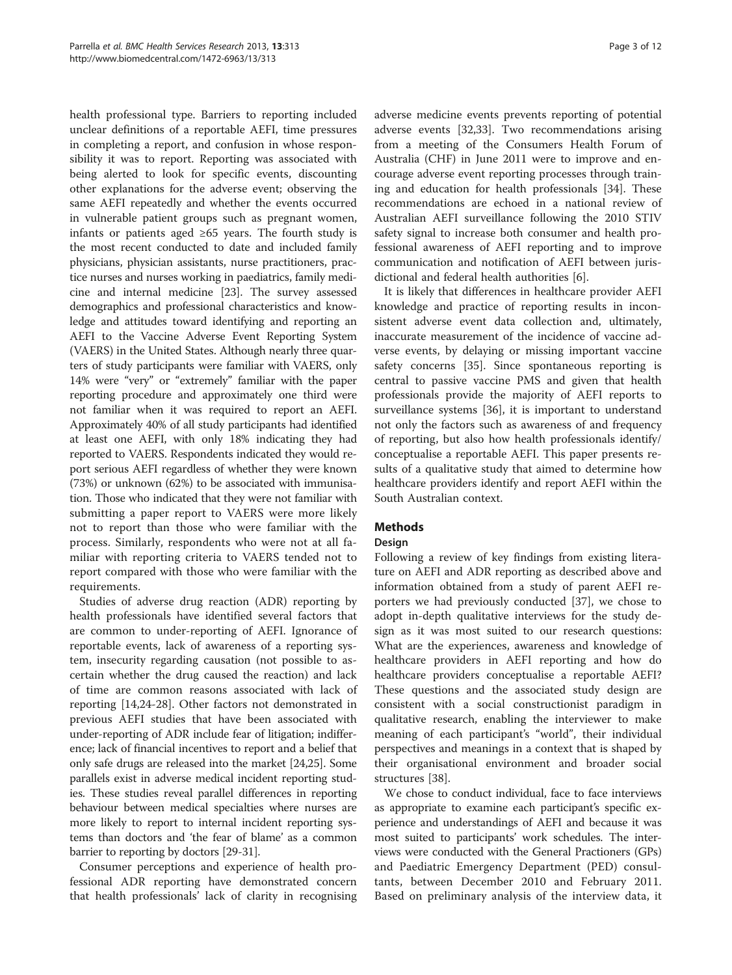health professional type. Barriers to reporting included unclear definitions of a reportable AEFI, time pressures in completing a report, and confusion in whose responsibility it was to report. Reporting was associated with being alerted to look for specific events, discounting other explanations for the adverse event; observing the same AEFI repeatedly and whether the events occurred in vulnerable patient groups such as pregnant women, infants or patients aged  $\geq 65$  years. The fourth study is the most recent conducted to date and included family physicians, physician assistants, nurse practitioners, practice nurses and nurses working in paediatrics, family medicine and internal medicine [[23](#page-10-0)]. The survey assessed demographics and professional characteristics and knowledge and attitudes toward identifying and reporting an AEFI to the Vaccine Adverse Event Reporting System (VAERS) in the United States. Although nearly three quarters of study participants were familiar with VAERS, only 14% were "very" or "extremely" familiar with the paper reporting procedure and approximately one third were not familiar when it was required to report an AEFI. Approximately 40% of all study participants had identified at least one AEFI, with only 18% indicating they had reported to VAERS. Respondents indicated they would report serious AEFI regardless of whether they were known (73%) or unknown (62%) to be associated with immunisation. Those who indicated that they were not familiar with submitting a paper report to VAERS were more likely not to report than those who were familiar with the process. Similarly, respondents who were not at all familiar with reporting criteria to VAERS tended not to report compared with those who were familiar with the requirements.

Studies of adverse drug reaction (ADR) reporting by health professionals have identified several factors that are common to under-reporting of AEFI. Ignorance of reportable events, lack of awareness of a reporting system, insecurity regarding causation (not possible to ascertain whether the drug caused the reaction) and lack of time are common reasons associated with lack of reporting [[14](#page-10-0),[24](#page-10-0)-[28\]](#page-10-0). Other factors not demonstrated in previous AEFI studies that have been associated with under-reporting of ADR include fear of litigation; indifference; lack of financial incentives to report and a belief that only safe drugs are released into the market [[24,25](#page-10-0)]. Some parallels exist in adverse medical incident reporting studies. These studies reveal parallel differences in reporting behaviour between medical specialties where nurses are more likely to report to internal incident reporting systems than doctors and 'the fear of blame' as a common barrier to reporting by doctors [\[29-31\]](#page-10-0).

Consumer perceptions and experience of health professional ADR reporting have demonstrated concern that health professionals' lack of clarity in recognising

adverse medicine events prevents reporting of potential adverse events [\[32,33](#page-10-0)]. Two recommendations arising from a meeting of the Consumers Health Forum of Australia (CHF) in June 2011 were to improve and encourage adverse event reporting processes through training and education for health professionals [\[34](#page-11-0)]. These recommendations are echoed in a national review of Australian AEFI surveillance following the 2010 STIV safety signal to increase both consumer and health professional awareness of AEFI reporting and to improve communication and notification of AEFI between jurisdictional and federal health authorities [\[6](#page-10-0)].

It is likely that differences in healthcare provider AEFI knowledge and practice of reporting results in inconsistent adverse event data collection and, ultimately, inaccurate measurement of the incidence of vaccine adverse events, by delaying or missing important vaccine safety concerns [\[35](#page-11-0)]. Since spontaneous reporting is central to passive vaccine PMS and given that health professionals provide the majority of AEFI reports to surveillance systems [[36\]](#page-11-0), it is important to understand not only the factors such as awareness of and frequency of reporting, but also how health professionals identify/ conceptualise a reportable AEFI. This paper presents results of a qualitative study that aimed to determine how healthcare providers identify and report AEFI within the South Australian context.

# **Methods**

# **Design**

Following a review of key findings from existing literature on AEFI and ADR reporting as described above and information obtained from a study of parent AEFI reporters we had previously conducted [\[37](#page-11-0)], we chose to adopt in-depth qualitative interviews for the study design as it was most suited to our research questions: What are the experiences, awareness and knowledge of healthcare providers in AEFI reporting and how do healthcare providers conceptualise a reportable AEFI? These questions and the associated study design are consistent with a social constructionist paradigm in qualitative research, enabling the interviewer to make meaning of each participant's "world", their individual perspectives and meanings in a context that is shaped by their organisational environment and broader social structures [[38](#page-11-0)].

We chose to conduct individual, face to face interviews as appropriate to examine each participant's specific experience and understandings of AEFI and because it was most suited to participants' work schedules. The interviews were conducted with the General Practioners (GPs) and Paediatric Emergency Department (PED) consultants, between December 2010 and February 2011. Based on preliminary analysis of the interview data, it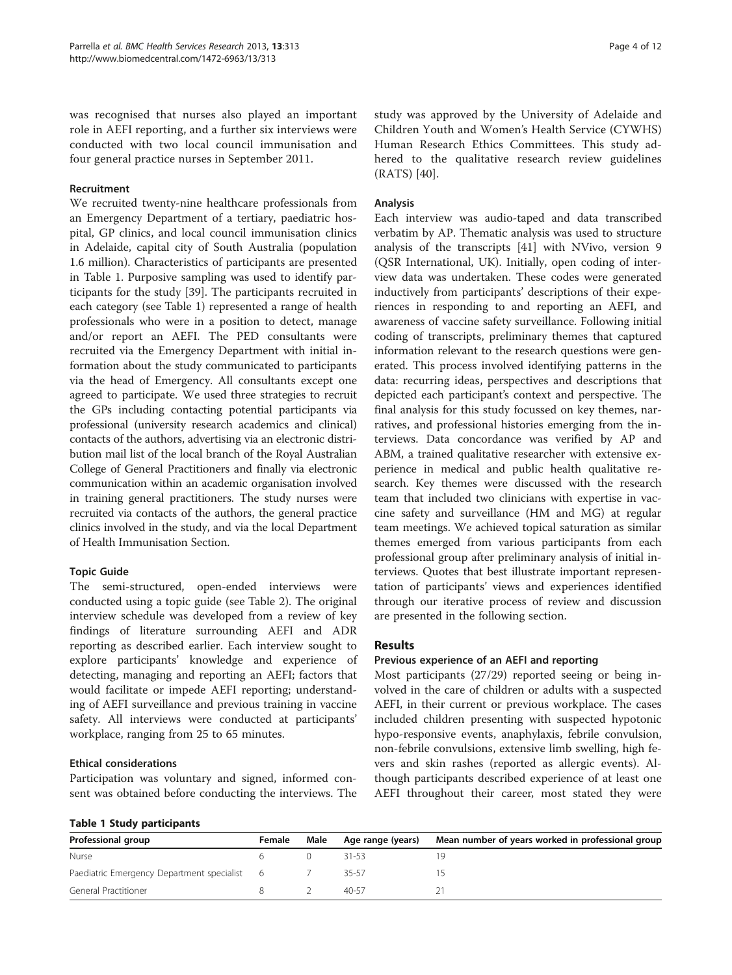was recognised that nurses also played an important role in AEFI reporting, and a further six interviews were conducted with two local council immunisation and four general practice nurses in September 2011.

#### Recruitment

We recruited twenty-nine healthcare professionals from an Emergency Department of a tertiary, paediatric hospital, GP clinics, and local council immunisation clinics in Adelaide, capital city of South Australia (population 1.6 million). Characteristics of participants are presented in Table 1. Purposive sampling was used to identify participants for the study [[39\]](#page-11-0). The participants recruited in each category (see Table 1) represented a range of health professionals who were in a position to detect, manage and/or report an AEFI. The PED consultants were recruited via the Emergency Department with initial information about the study communicated to participants via the head of Emergency. All consultants except one agreed to participate. We used three strategies to recruit the GPs including contacting potential participants via professional (university research academics and clinical) contacts of the authors, advertising via an electronic distribution mail list of the local branch of the Royal Australian College of General Practitioners and finally via electronic communication within an academic organisation involved in training general practitioners. The study nurses were recruited via contacts of the authors, the general practice clinics involved in the study, and via the local Department of Health Immunisation Section.

# Topic Guide

The semi-structured, open-ended interviews were conducted using a topic guide (see Table [2\)](#page-4-0). The original interview schedule was developed from a review of key findings of literature surrounding AEFI and ADR reporting as described earlier. Each interview sought to explore participants' knowledge and experience of detecting, managing and reporting an AEFI; factors that would facilitate or impede AEFI reporting; understanding of AEFI surveillance and previous training in vaccine safety. All interviews were conducted at participants' workplace, ranging from 25 to 65 minutes.

#### Ethical considerations

Participation was voluntary and signed, informed consent was obtained before conducting the interviews. The study was approved by the University of Adelaide and Children Youth and Women's Health Service (CYWHS) Human Research Ethics Committees. This study adhered to the qualitative research review guidelines (RATS) [[40\]](#page-11-0).

## Analysis

Each interview was audio-taped and data transcribed verbatim by AP. Thematic analysis was used to structure analysis of the transcripts [[41\]](#page-11-0) with NVivo, version 9 (QSR International, UK). Initially, open coding of interview data was undertaken. These codes were generated inductively from participants' descriptions of their experiences in responding to and reporting an AEFI, and awareness of vaccine safety surveillance. Following initial coding of transcripts, preliminary themes that captured information relevant to the research questions were generated. This process involved identifying patterns in the data: recurring ideas, perspectives and descriptions that depicted each participant's context and perspective. The final analysis for this study focussed on key themes, narratives, and professional histories emerging from the interviews. Data concordance was verified by AP and ABM, a trained qualitative researcher with extensive experience in medical and public health qualitative research. Key themes were discussed with the research team that included two clinicians with expertise in vaccine safety and surveillance (HM and MG) at regular team meetings. We achieved topical saturation as similar themes emerged from various participants from each professional group after preliminary analysis of initial interviews. Quotes that best illustrate important representation of participants' views and experiences identified through our iterative process of review and discussion are presented in the following section.

#### Results

#### Previous experience of an AEFI and reporting

Most participants (27/29) reported seeing or being involved in the care of children or adults with a suspected AEFI, in their current or previous workplace. The cases included children presenting with suspected hypotonic hypo-responsive events, anaphylaxis, febrile convulsion, non-febrile convulsions, extensive limb swelling, high fevers and skin rashes (reported as allergic events). Although participants described experience of at least one AEFI throughout their career, most stated they were

|  | <b>Table 1 Study participants</b> |  |
|--|-----------------------------------|--|
|  |                                   |  |

| Professional group                           | Female | Male | Age range (years) | Mean number of years worked in professional group |
|----------------------------------------------|--------|------|-------------------|---------------------------------------------------|
| Nurse                                        |        |      | 31-53             |                                                   |
| Paediatric Emergency Department specialist 6 |        |      | 35-57             |                                                   |
| General Practitioner                         |        |      | $40 - 57$         |                                                   |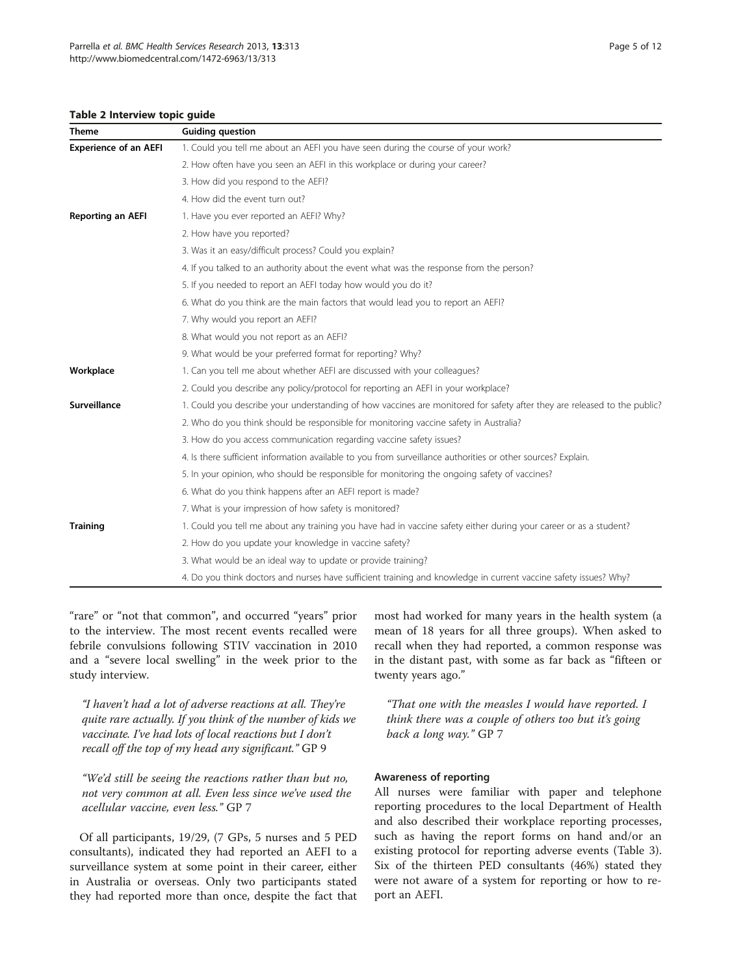#### <span id="page-4-0"></span>Table 2 Interview topic guide

| <b>Theme</b>                 | <b>Guiding question</b>                                                                                                  |  |  |  |  |
|------------------------------|--------------------------------------------------------------------------------------------------------------------------|--|--|--|--|
| <b>Experience of an AEFI</b> | 1. Could you tell me about an AEFI you have seen during the course of your work?                                         |  |  |  |  |
|                              | 2. How often have you seen an AEFI in this workplace or during your career?                                              |  |  |  |  |
|                              | 3. How did you respond to the AEFI?                                                                                      |  |  |  |  |
|                              | 4. How did the event turn out?                                                                                           |  |  |  |  |
| <b>Reporting an AEFI</b>     | 1. Have you ever reported an AEFI? Why?                                                                                  |  |  |  |  |
|                              | 2. How have you reported?                                                                                                |  |  |  |  |
|                              | 3. Was it an easy/difficult process? Could you explain?                                                                  |  |  |  |  |
|                              | 4. If you talked to an authority about the event what was the response from the person?                                  |  |  |  |  |
|                              | 5. If you needed to report an AEFI today how would you do it?                                                            |  |  |  |  |
|                              | 6. What do you think are the main factors that would lead you to report an AEFI?                                         |  |  |  |  |
|                              | 7. Why would you report an AEFI?                                                                                         |  |  |  |  |
|                              | 8. What would you not report as an AEFI?                                                                                 |  |  |  |  |
|                              | 9. What would be your preferred format for reporting? Why?                                                               |  |  |  |  |
| Workplace                    | 1. Can you tell me about whether AEFI are discussed with your colleagues?                                                |  |  |  |  |
|                              | 2. Could you describe any policy/protocol for reporting an AEFI in your workplace?                                       |  |  |  |  |
| Surveillance                 | 1. Could you describe your understanding of how vaccines are monitored for safety after they are released to the public? |  |  |  |  |
|                              | 2. Who do you think should be responsible for monitoring vaccine safety in Australia?                                    |  |  |  |  |
|                              | 3. How do you access communication regarding vaccine safety issues?                                                      |  |  |  |  |
|                              | 4. Is there sufficient information available to you from surveillance authorities or other sources? Explain.             |  |  |  |  |
|                              | 5. In your opinion, who should be responsible for monitoring the ongoing safety of vaccines?                             |  |  |  |  |
|                              | 6. What do you think happens after an AEFI report is made?                                                               |  |  |  |  |
|                              | 7. What is your impression of how safety is monitored?                                                                   |  |  |  |  |
| <b>Training</b>              | 1. Could you tell me about any training you have had in vaccine safety either during your career or as a student?        |  |  |  |  |
|                              | 2. How do you update your knowledge in vaccine safety?                                                                   |  |  |  |  |
|                              | 3. What would be an ideal way to update or provide training?                                                             |  |  |  |  |
|                              | 4. Do you think doctors and nurses have sufficient training and knowledge in current vaccine safety issues? Why?         |  |  |  |  |
|                              |                                                                                                                          |  |  |  |  |

"rare" or "not that common", and occurred "years" prior to the interview. The most recent events recalled were febrile convulsions following STIV vaccination in 2010 and a "severe local swelling" in the week prior to the study interview.

"I haven't had a lot of adverse reactions at all. They're quite rare actually. If you think of the number of kids we vaccinate. I've had lots of local reactions but I don't recall off the top of my head any significant." GP 9

"We'd still be seeing the reactions rather than but no, not very common at all. Even less since we've used the acellular vaccine, even less." GP 7

Of all participants, 19/29, (7 GPs, 5 nurses and 5 PED consultants), indicated they had reported an AEFI to a surveillance system at some point in their career, either in Australia or overseas. Only two participants stated they had reported more than once, despite the fact that

most had worked for many years in the health system (a mean of 18 years for all three groups). When asked to recall when they had reported, a common response was in the distant past, with some as far back as "fifteen or twenty years ago."

"That one with the measles I would have reported. I think there was a couple of others too but it's going back a long way." GP 7

#### Awareness of reporting

All nurses were familiar with paper and telephone reporting procedures to the local Department of Health and also described their workplace reporting processes, such as having the report forms on hand and/or an existing protocol for reporting adverse events (Table [3](#page-5-0)). Six of the thirteen PED consultants (46%) stated they were not aware of a system for reporting or how to report an AEFI.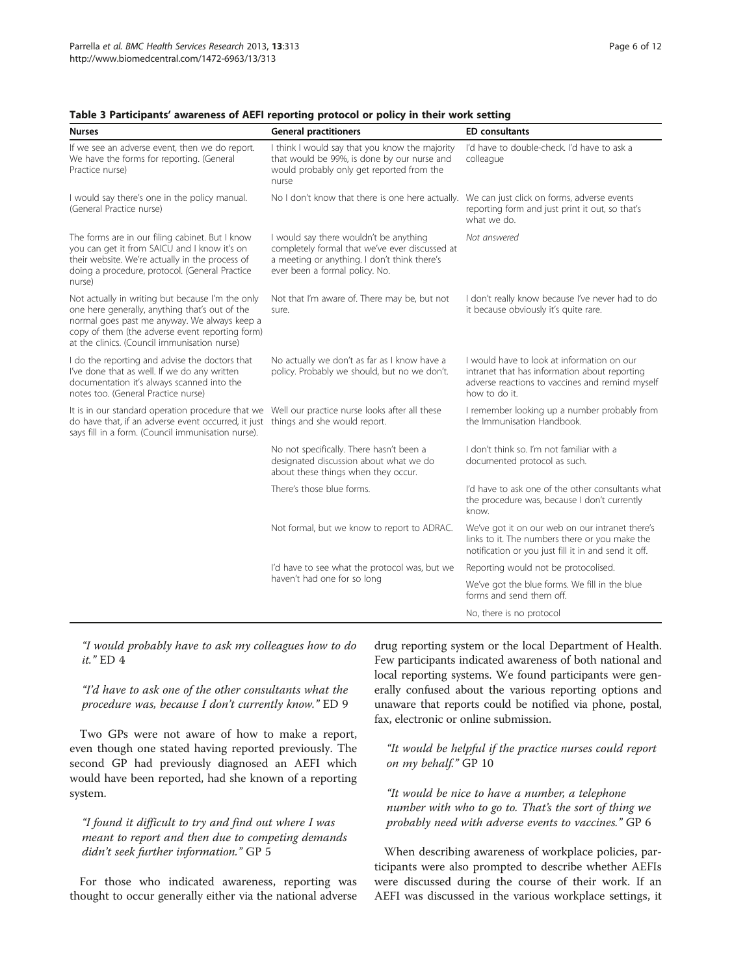| <b>Nurses</b>                                                                                                                                                                                                                                         | <b>General practitioners</b>                                                                                                                                               | <b>ED</b> consultants                                                                                                                                           |
|-------------------------------------------------------------------------------------------------------------------------------------------------------------------------------------------------------------------------------------------------------|----------------------------------------------------------------------------------------------------------------------------------------------------------------------------|-----------------------------------------------------------------------------------------------------------------------------------------------------------------|
| If we see an adverse event, then we do report.<br>We have the forms for reporting. (General<br>Practice nurse)                                                                                                                                        | I think I would say that you know the majority<br>that would be 99%, is done by our nurse and<br>would probably only get reported from the<br>nurse                        | I'd have to double-check. I'd have to ask a<br>colleague                                                                                                        |
| I would say there's one in the policy manual.<br>(General Practice nurse)                                                                                                                                                                             | No I don't know that there is one here actually.                                                                                                                           | We can just click on forms, adverse events<br>reporting form and just print it out, so that's<br>what we do.                                                    |
| The forms are in our filing cabinet. But I know<br>you can get it from SAICU and I know it's on<br>their website. We're actually in the process of<br>doing a procedure, protocol. (General Practice<br>nurse)                                        | I would say there wouldn't be anything<br>completely formal that we've ever discussed at<br>a meeting or anything. I don't think there's<br>ever been a formal policy. No. | Not answered                                                                                                                                                    |
| Not actually in writing but because I'm the only<br>one here generally, anything that's out of the<br>normal goes past me anyway. We always keep a<br>copy of them (the adverse event reporting form)<br>at the clinics. (Council immunisation nurse) | Not that I'm aware of. There may be, but not<br>sure.                                                                                                                      | I don't really know because I've never had to do<br>it because obviously it's quite rare.                                                                       |
| I do the reporting and advise the doctors that<br>I've done that as well. If we do any written<br>documentation it's always scanned into the<br>notes too. (General Practice nurse)                                                                   | No actually we don't as far as I know have a<br>policy. Probably we should, but no we don't.                                                                               | I would have to look at information on our<br>intranet that has information about reporting<br>adverse reactions to vaccines and remind myself<br>how to do it. |
| It is in our standard operation procedure that we Well our practice nurse looks after all these<br>do have that, if an adverse event occurred, it just things and she would report.<br>says fill in a form. (Council immunisation nurse).             |                                                                                                                                                                            | I remember looking up a number probably from<br>the Immunisation Handbook.                                                                                      |
|                                                                                                                                                                                                                                                       | No not specifically. There hasn't been a<br>designated discussion about what we do<br>about these things when they occur.                                                  | I don't think so. I'm not familiar with a<br>documented protocol as such.                                                                                       |
|                                                                                                                                                                                                                                                       | There's those blue forms.                                                                                                                                                  | I'd have to ask one of the other consultants what<br>the procedure was, because I don't currently<br>know.                                                      |
|                                                                                                                                                                                                                                                       | Not formal, but we know to report to ADRAC.                                                                                                                                | We've got it on our web on our intranet there's<br>links to it. The numbers there or you make the<br>notification or you just fill it in and send it off.       |
|                                                                                                                                                                                                                                                       | I'd have to see what the protocol was, but we                                                                                                                              | Reporting would not be protocolised.                                                                                                                            |
|                                                                                                                                                                                                                                                       | haven't had one for so long                                                                                                                                                | We've got the blue forms. We fill in the blue<br>forms and send them off.                                                                                       |
|                                                                                                                                                                                                                                                       |                                                                                                                                                                            | No, there is no protocol                                                                                                                                        |

#### <span id="page-5-0"></span>Table 3 Participants' awareness of AEFI reporting protocol or policy in their work setting

"I would probably have to ask my colleagues how to do it." ED 4

"I'd have to ask one of the other consultants what the procedure was, because I don't currently know." ED 9

Two GPs were not aware of how to make a report, even though one stated having reported previously. The second GP had previously diagnosed an AEFI which would have been reported, had she known of a reporting system.

"I found it difficult to try and find out where I was meant to report and then due to competing demands didn't seek further information." GP 5

For those who indicated awareness, reporting was thought to occur generally either via the national adverse drug reporting system or the local Department of Health. Few participants indicated awareness of both national and local reporting systems. We found participants were generally confused about the various reporting options and unaware that reports could be notified via phone, postal, fax, electronic or online submission.

"It would be helpful if the practice nurses could report on my behalf." GP 10

"It would be nice to have a number, a telephone number with who to go to. That's the sort of thing we probably need with adverse events to vaccines." GP 6

When describing awareness of workplace policies, participants were also prompted to describe whether AEFIs were discussed during the course of their work. If an AEFI was discussed in the various workplace settings, it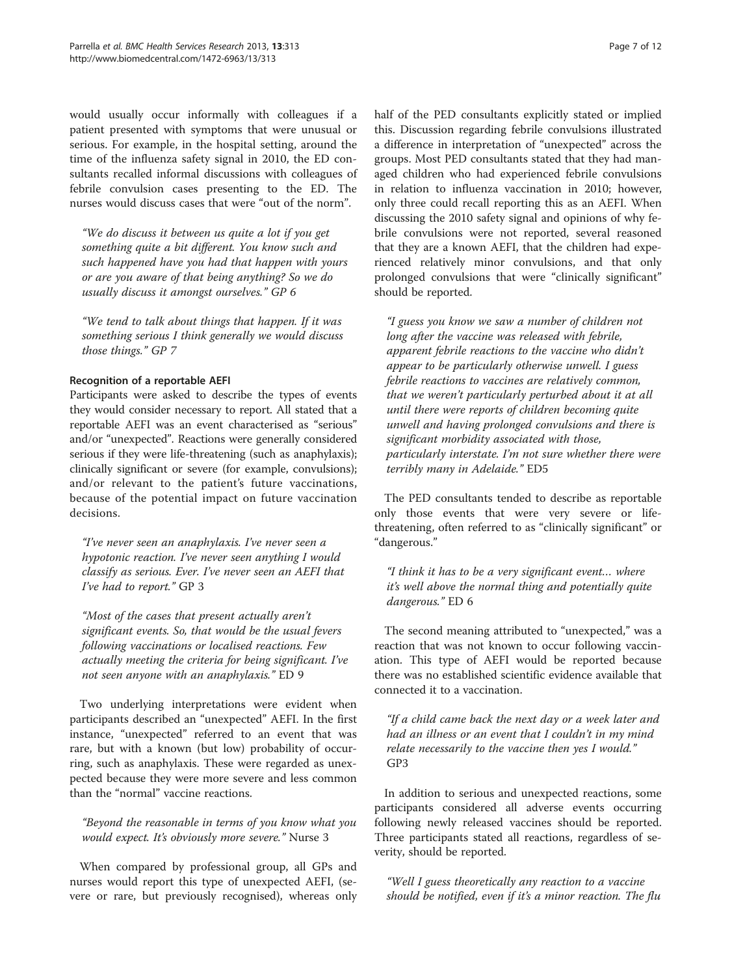would usually occur informally with colleagues if a patient presented with symptoms that were unusual or serious. For example, in the hospital setting, around the time of the influenza safety signal in 2010, the ED consultants recalled informal discussions with colleagues of febrile convulsion cases presenting to the ED. The nurses would discuss cases that were "out of the norm".

"We do discuss it between us quite a lot if you get something quite a bit different. You know such and such happened have you had that happen with yours or are you aware of that being anything? So we do usually discuss it amongst ourselves." GP 6

"We tend to talk about things that happen. If it was something serious I think generally we would discuss those things." GP 7

## Recognition of a reportable AEFI

Participants were asked to describe the types of events they would consider necessary to report. All stated that a reportable AEFI was an event characterised as "serious" and/or "unexpected". Reactions were generally considered serious if they were life-threatening (such as anaphylaxis); clinically significant or severe (for example, convulsions); and/or relevant to the patient's future vaccinations, because of the potential impact on future vaccination decisions.

"I've never seen an anaphylaxis. I've never seen a hypotonic reaction. I've never seen anything I would classify as serious. Ever. I've never seen an AEFI that I've had to report." GP 3

"Most of the cases that present actually aren't significant events. So, that would be the usual fevers following vaccinations or localised reactions. Few actually meeting the criteria for being significant. I've not seen anyone with an anaphylaxis." ED 9

Two underlying interpretations were evident when participants described an "unexpected" AEFI. In the first instance, "unexpected" referred to an event that was rare, but with a known (but low) probability of occurring, such as anaphylaxis. These were regarded as unexpected because they were more severe and less common than the "normal" vaccine reactions.

"Beyond the reasonable in terms of you know what you would expect. It's obviously more severe." Nurse 3

When compared by professional group, all GPs and nurses would report this type of unexpected AEFI, (severe or rare, but previously recognised), whereas only half of the PED consultants explicitly stated or implied this. Discussion regarding febrile convulsions illustrated a difference in interpretation of "unexpected" across the groups. Most PED consultants stated that they had managed children who had experienced febrile convulsions in relation to influenza vaccination in 2010; however, only three could recall reporting this as an AEFI. When discussing the 2010 safety signal and opinions of why febrile convulsions were not reported, several reasoned that they are a known AEFI, that the children had experienced relatively minor convulsions, and that only prolonged convulsions that were "clinically significant" should be reported.

"I guess you know we saw a number of children not long after the vaccine was released with febrile, apparent febrile reactions to the vaccine who didn't appear to be particularly otherwise unwell. I guess febrile reactions to vaccines are relatively common, that we weren't particularly perturbed about it at all until there were reports of children becoming quite unwell and having prolonged convulsions and there is significant morbidity associated with those, particularly interstate. I'm not sure whether there were terribly many in Adelaide." ED5

The PED consultants tended to describe as reportable only those events that were very severe or lifethreatening, often referred to as "clinically significant" or "dangerous."

"I think it has to be a very significant event… where it's well above the normal thing and potentially quite dangerous." ED 6

The second meaning attributed to "unexpected," was a reaction that was not known to occur following vaccination. This type of AEFI would be reported because there was no established scientific evidence available that connected it to a vaccination.

"If a child came back the next day or a week later and had an illness or an event that I couldn't in my mind relate necessarily to the vaccine then yes I would." GP3

In addition to serious and unexpected reactions, some participants considered all adverse events occurring following newly released vaccines should be reported. Three participants stated all reactions, regardless of severity, should be reported.

"Well I guess theoretically any reaction to a vaccine should be notified, even if it's a minor reaction. The flu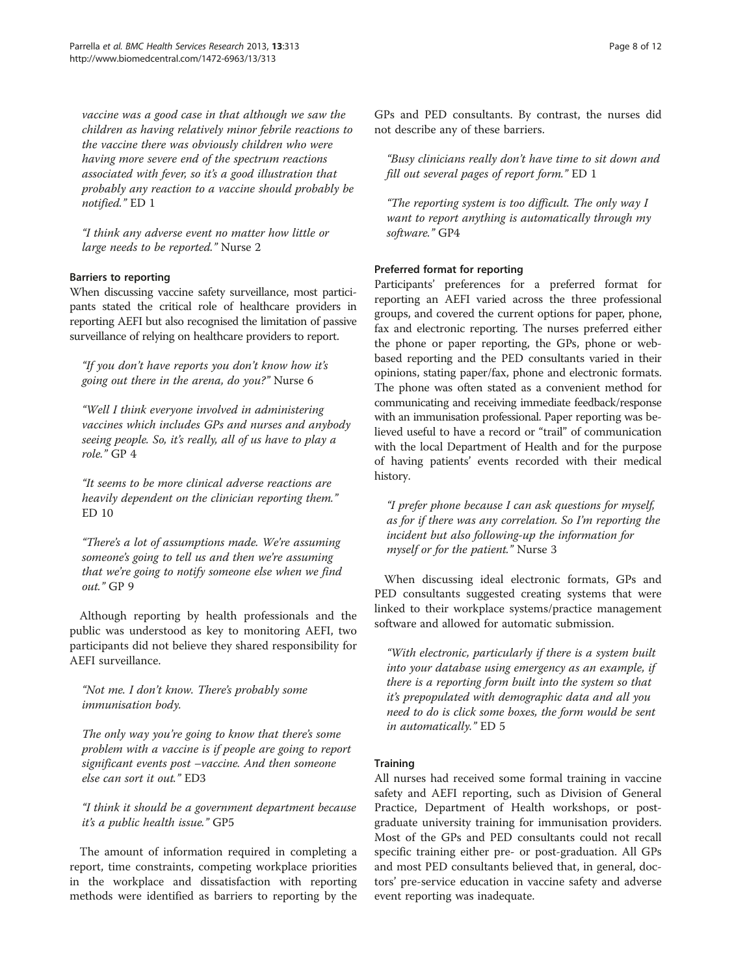vaccine was a good case in that although we saw the children as having relatively minor febrile reactions to the vaccine there was obviously children who were having more severe end of the spectrum reactions associated with fever, so it's a good illustration that probably any reaction to a vaccine should probably be notified." ED 1

"I think any adverse event no matter how little or large needs to be reported." Nurse 2

#### Barriers to reporting

When discussing vaccine safety surveillance, most participants stated the critical role of healthcare providers in reporting AEFI but also recognised the limitation of passive surveillance of relying on healthcare providers to report.

"If you don't have reports you don't know how it's going out there in the arena, do you?" Nurse 6

"Well I think everyone involved in administering vaccines which includes GPs and nurses and anybody seeing people. So, it's really, all of us have to play a role." GP 4

"It seems to be more clinical adverse reactions are heavily dependent on the clinician reporting them." ED 10

"There's a lot of assumptions made. We're assuming someone's going to tell us and then we're assuming that we're going to notify someone else when we find out." GP 9

Although reporting by health professionals and the public was understood as key to monitoring AEFI, two participants did not believe they shared responsibility for AEFI surveillance.

"Not me. I don't know. There's probably some immunisation body.

The only way you're going to know that there's some problem with a vaccine is if people are going to report significant events post –vaccine. And then someone else can sort it out." ED3

"I think it should be a government department because it's a public health issue." GP5

The amount of information required in completing a report, time constraints, competing workplace priorities in the workplace and dissatisfaction with reporting methods were identified as barriers to reporting by the GPs and PED consultants. By contrast, the nurses did not describe any of these barriers.

"Busy clinicians really don't have time to sit down and fill out several pages of report form." ED 1

"The reporting system is too difficult. The only way I want to report anything is automatically through my software." GP4

#### Preferred format for reporting

Participants' preferences for a preferred format for reporting an AEFI varied across the three professional groups, and covered the current options for paper, phone, fax and electronic reporting. The nurses preferred either the phone or paper reporting, the GPs, phone or webbased reporting and the PED consultants varied in their opinions, stating paper/fax, phone and electronic formats. The phone was often stated as a convenient method for communicating and receiving immediate feedback/response with an immunisation professional. Paper reporting was believed useful to have a record or "trail" of communication with the local Department of Health and for the purpose of having patients' events recorded with their medical history.

"I prefer phone because I can ask questions for myself, as for if there was any correlation. So I'm reporting the incident but also following-up the information for myself or for the patient." Nurse 3

When discussing ideal electronic formats, GPs and PED consultants suggested creating systems that were linked to their workplace systems/practice management software and allowed for automatic submission.

"With electronic, particularly if there is a system built into your database using emergency as an example, if there is a reporting form built into the system so that it's prepopulated with demographic data and all you need to do is click some boxes, the form would be sent in automatically." ED 5

#### **Training**

All nurses had received some formal training in vaccine safety and AEFI reporting, such as Division of General Practice, Department of Health workshops, or postgraduate university training for immunisation providers. Most of the GPs and PED consultants could not recall specific training either pre- or post-graduation. All GPs and most PED consultants believed that, in general, doctors' pre-service education in vaccine safety and adverse event reporting was inadequate.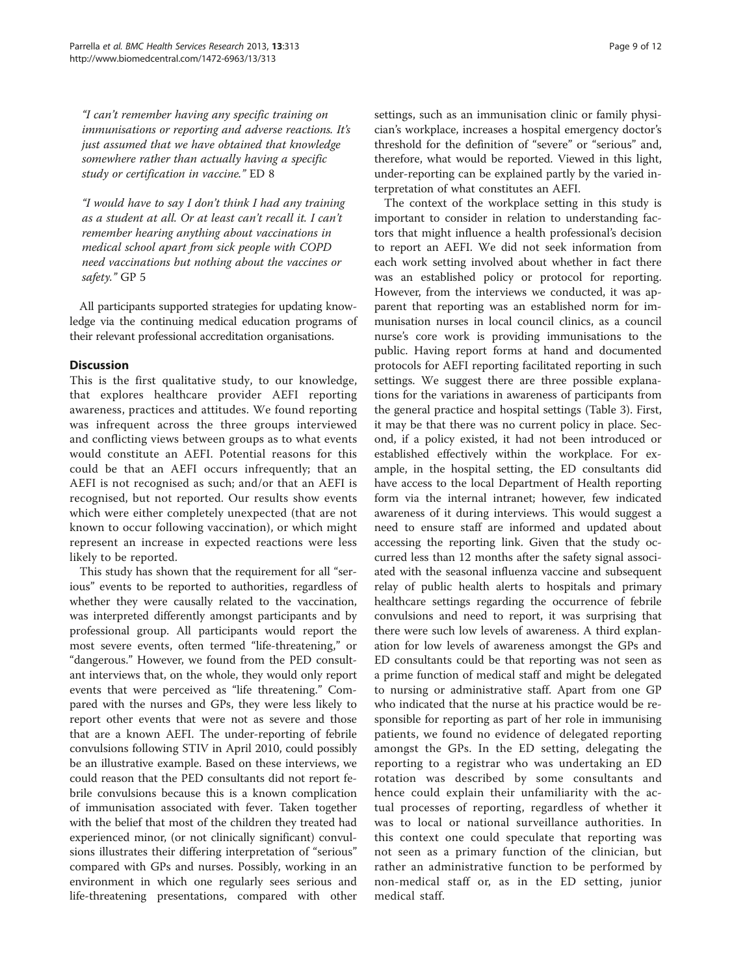"I can't remember having any specific training on immunisations or reporting and adverse reactions. It's just assumed that we have obtained that knowledge somewhere rather than actually having a specific study or certification in vaccine." ED 8

"I would have to say I don't think I had any training as a student at all. Or at least can't recall it. I can't remember hearing anything about vaccinations in medical school apart from sick people with COPD need vaccinations but nothing about the vaccines or safety." GP 5

All participants supported strategies for updating knowledge via the continuing medical education programs of their relevant professional accreditation organisations.

# **Discussion**

This is the first qualitative study, to our knowledge, that explores healthcare provider AEFI reporting awareness, practices and attitudes. We found reporting was infrequent across the three groups interviewed and conflicting views between groups as to what events would constitute an AEFI. Potential reasons for this could be that an AEFI occurs infrequently; that an AEFI is not recognised as such; and/or that an AEFI is recognised, but not reported. Our results show events which were either completely unexpected (that are not known to occur following vaccination), or which might represent an increase in expected reactions were less likely to be reported.

This study has shown that the requirement for all "serious" events to be reported to authorities, regardless of whether they were causally related to the vaccination, was interpreted differently amongst participants and by professional group. All participants would report the most severe events, often termed "life-threatening," or "dangerous." However, we found from the PED consultant interviews that, on the whole, they would only report events that were perceived as "life threatening." Compared with the nurses and GPs, they were less likely to report other events that were not as severe and those that are a known AEFI. The under-reporting of febrile convulsions following STIV in April 2010, could possibly be an illustrative example. Based on these interviews, we could reason that the PED consultants did not report febrile convulsions because this is a known complication of immunisation associated with fever. Taken together with the belief that most of the children they treated had experienced minor, (or not clinically significant) convulsions illustrates their differing interpretation of "serious" compared with GPs and nurses. Possibly, working in an environment in which one regularly sees serious and life-threatening presentations, compared with other settings, such as an immunisation clinic or family physician's workplace, increases a hospital emergency doctor's threshold for the definition of "severe" or "serious" and, therefore, what would be reported. Viewed in this light, under-reporting can be explained partly by the varied interpretation of what constitutes an AEFI.

The context of the workplace setting in this study is important to consider in relation to understanding factors that might influence a health professional's decision to report an AEFI. We did not seek information from each work setting involved about whether in fact there was an established policy or protocol for reporting. However, from the interviews we conducted, it was apparent that reporting was an established norm for immunisation nurses in local council clinics, as a council nurse's core work is providing immunisations to the public. Having report forms at hand and documented protocols for AEFI reporting facilitated reporting in such settings. We suggest there are three possible explanations for the variations in awareness of participants from the general practice and hospital settings (Table [3\)](#page-5-0). First, it may be that there was no current policy in place. Second, if a policy existed, it had not been introduced or established effectively within the workplace. For example, in the hospital setting, the ED consultants did have access to the local Department of Health reporting form via the internal intranet; however, few indicated awareness of it during interviews. This would suggest a need to ensure staff are informed and updated about accessing the reporting link. Given that the study occurred less than 12 months after the safety signal associated with the seasonal influenza vaccine and subsequent relay of public health alerts to hospitals and primary healthcare settings regarding the occurrence of febrile convulsions and need to report, it was surprising that there were such low levels of awareness. A third explanation for low levels of awareness amongst the GPs and ED consultants could be that reporting was not seen as a prime function of medical staff and might be delegated to nursing or administrative staff. Apart from one GP who indicated that the nurse at his practice would be responsible for reporting as part of her role in immunising patients, we found no evidence of delegated reporting amongst the GPs. In the ED setting, delegating the reporting to a registrar who was undertaking an ED rotation was described by some consultants and hence could explain their unfamiliarity with the actual processes of reporting, regardless of whether it was to local or national surveillance authorities. In this context one could speculate that reporting was not seen as a primary function of the clinician, but rather an administrative function to be performed by non-medical staff or, as in the ED setting, junior medical staff.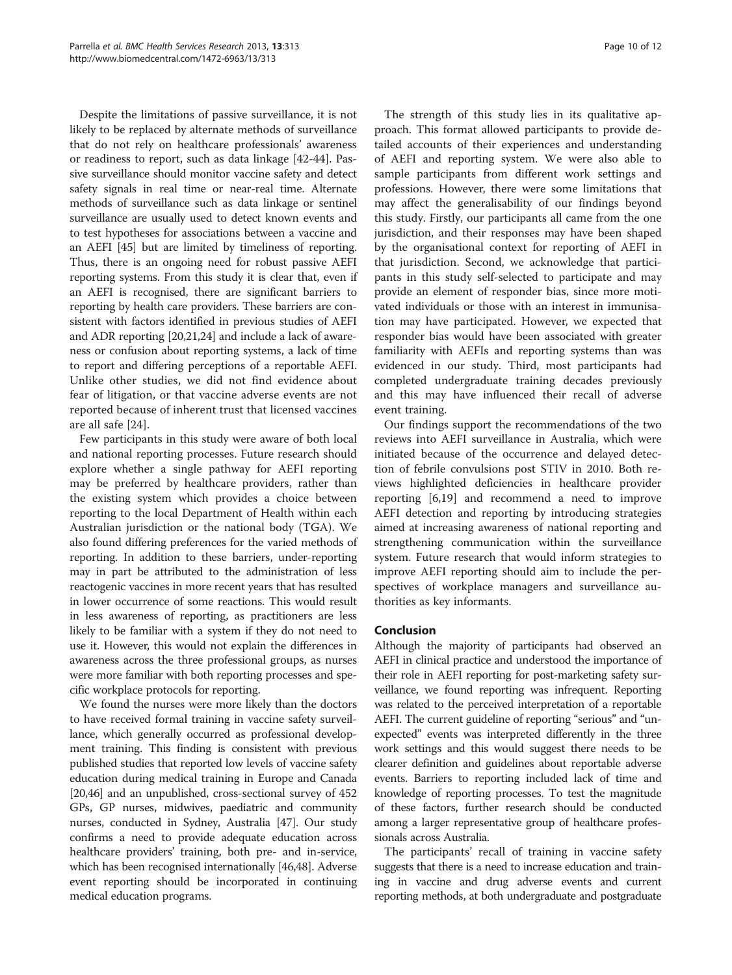Despite the limitations of passive surveillance, it is not likely to be replaced by alternate methods of surveillance that do not rely on healthcare professionals' awareness or readiness to report, such as data linkage [[42](#page-11-0)-[44\]](#page-11-0). Passive surveillance should monitor vaccine safety and detect safety signals in real time or near-real time. Alternate methods of surveillance such as data linkage or sentinel surveillance are usually used to detect known events and to test hypotheses for associations between a vaccine and an AEFI [\[45](#page-11-0)] but are limited by timeliness of reporting. Thus, there is an ongoing need for robust passive AEFI reporting systems. From this study it is clear that, even if an AEFI is recognised, there are significant barriers to reporting by health care providers. These barriers are consistent with factors identified in previous studies of AEFI and ADR reporting [[20,21,24\]](#page-10-0) and include a lack of awareness or confusion about reporting systems, a lack of time to report and differing perceptions of a reportable AEFI. Unlike other studies, we did not find evidence about fear of litigation, or that vaccine adverse events are not reported because of inherent trust that licensed vaccines are all safe [\[24](#page-10-0)].

Few participants in this study were aware of both local and national reporting processes. Future research should explore whether a single pathway for AEFI reporting may be preferred by healthcare providers, rather than the existing system which provides a choice between reporting to the local Department of Health within each Australian jurisdiction or the national body (TGA). We also found differing preferences for the varied methods of reporting. In addition to these barriers, under-reporting may in part be attributed to the administration of less reactogenic vaccines in more recent years that has resulted in lower occurrence of some reactions. This would result in less awareness of reporting, as practitioners are less likely to be familiar with a system if they do not need to use it. However, this would not explain the differences in awareness across the three professional groups, as nurses were more familiar with both reporting processes and specific workplace protocols for reporting.

We found the nurses were more likely than the doctors to have received formal training in vaccine safety surveillance, which generally occurred as professional development training. This finding is consistent with previous published studies that reported low levels of vaccine safety education during medical training in Europe and Canada [[20](#page-10-0)[,46](#page-11-0)] and an unpublished, cross-sectional survey of 452 GPs, GP nurses, midwives, paediatric and community nurses, conducted in Sydney, Australia [\[47\]](#page-11-0). Our study confirms a need to provide adequate education across healthcare providers' training, both pre- and in-service, which has been recognised internationally [\[46,48\]](#page-11-0). Adverse event reporting should be incorporated in continuing medical education programs.

The strength of this study lies in its qualitative approach. This format allowed participants to provide detailed accounts of their experiences and understanding of AEFI and reporting system. We were also able to sample participants from different work settings and professions. However, there were some limitations that may affect the generalisability of our findings beyond this study. Firstly, our participants all came from the one jurisdiction, and their responses may have been shaped by the organisational context for reporting of AEFI in that jurisdiction. Second, we acknowledge that participants in this study self-selected to participate and may provide an element of responder bias, since more motivated individuals or those with an interest in immunisation may have participated. However, we expected that responder bias would have been associated with greater familiarity with AEFIs and reporting systems than was evidenced in our study. Third, most participants had completed undergraduate training decades previously and this may have influenced their recall of adverse event training.

Our findings support the recommendations of the two reviews into AEFI surveillance in Australia, which were initiated because of the occurrence and delayed detection of febrile convulsions post STIV in 2010. Both reviews highlighted deficiencies in healthcare provider reporting [[6,19\]](#page-10-0) and recommend a need to improve AEFI detection and reporting by introducing strategies aimed at increasing awareness of national reporting and strengthening communication within the surveillance system. Future research that would inform strategies to improve AEFI reporting should aim to include the perspectives of workplace managers and surveillance authorities as key informants.

# Conclusion

Although the majority of participants had observed an AEFI in clinical practice and understood the importance of their role in AEFI reporting for post-marketing safety surveillance, we found reporting was infrequent. Reporting was related to the perceived interpretation of a reportable AEFI. The current guideline of reporting "serious" and "unexpected" events was interpreted differently in the three work settings and this would suggest there needs to be clearer definition and guidelines about reportable adverse events. Barriers to reporting included lack of time and knowledge of reporting processes. To test the magnitude of these factors, further research should be conducted among a larger representative group of healthcare professionals across Australia.

The participants' recall of training in vaccine safety suggests that there is a need to increase education and training in vaccine and drug adverse events and current reporting methods, at both undergraduate and postgraduate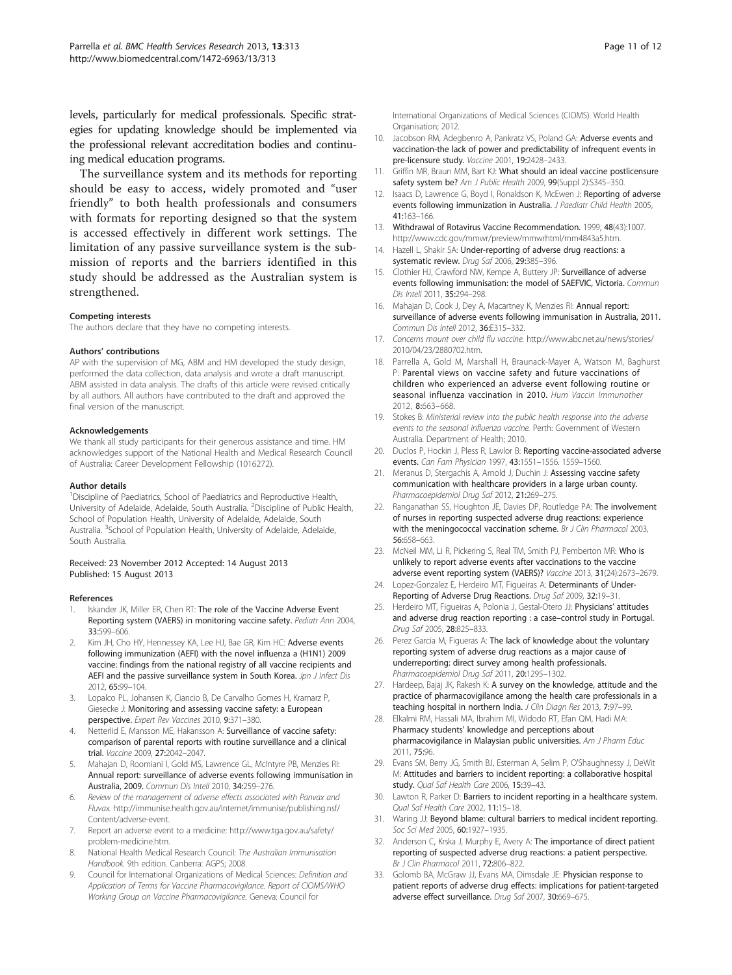<span id="page-10-0"></span>levels, particularly for medical professionals. Specific strategies for updating knowledge should be implemented via the professional relevant accreditation bodies and continuing medical education programs.

The surveillance system and its methods for reporting should be easy to access, widely promoted and "user friendly" to both health professionals and consumers with formats for reporting designed so that the system is accessed effectively in different work settings. The limitation of any passive surveillance system is the submission of reports and the barriers identified in this study should be addressed as the Australian system is strengthened.

#### Competing interests

The authors declare that they have no competing interests.

#### Authors' contributions

AP with the supervision of MG, ABM and HM developed the study design, performed the data collection, data analysis and wrote a draft manuscript. ABM assisted in data analysis. The drafts of this article were revised critically by all authors. All authors have contributed to the draft and approved the final version of the manuscript.

#### Acknowledgements

We thank all study participants for their generous assistance and time. HM acknowledges support of the National Health and Medical Research Council of Australia: Career Development Fellowship (1016272).

#### Author details

<sup>1</sup>Discipline of Paediatrics, School of Paediatrics and Reproductive Health, University of Adelaide, Adelaide, South Australia. <sup>2</sup>Discipline of Public Health, School of Population Health, University of Adelaide, Adelaide, South Australia. <sup>3</sup>School of Population Health, University of Adelaide, Adelaide, South Australia.

#### Received: 23 November 2012 Accepted: 14 August 2013 Published: 15 August 2013

#### References

- Iskander JK, Miller ER, Chen RT: The role of the Vaccine Adverse Event Reporting system (VAERS) in monitoring vaccine safety. Pediatr Ann 2004, 33:599–606.
- Kim JH, Cho HY, Hennessey KA, Lee HJ, Bae GR, Kim HC: Adverse events following immunization (AEFI) with the novel influenza a (H1N1) 2009 vaccine: findings from the national registry of all vaccine recipients and AEFI and the passive surveillance system in South Korea. Jpn J Infect Dis 2012, 65:99–104.
- 3. Lopalco PL, Johansen K, Ciancio B, De Carvalho Gomes H, Kramarz P, Giesecke J: Monitoring and assessing vaccine safety: a European perspective. Expert Rev Vaccines 2010, 9:371–380.
- 4. Netterlid E, Mansson ME, Hakansson A: Surveillance of vaccine safety: comparison of parental reports with routine surveillance and a clinical trial. Vaccine 2009, 27:2042–2047.
- 5. Mahajan D, Roomiani I, Gold MS, Lawrence GL, McIntyre PB, Menzies RI: Annual report: surveillance of adverse events following immunisation in Australia, 2009. Commun Dis Intell 2010, 34:259–276.
- 6. Review of the management of adverse effects associated with Panvax and Fluvax. [http://immunise.health.gov.au/internet/immunise/publishing.nsf/](http://immunise.health.gov.au/internet/immunise/publishing.nsf/Content/adverse-event) [Content/adverse-event.](http://immunise.health.gov.au/internet/immunise/publishing.nsf/Content/adverse-event)
- 7. Report an adverse event to a medicine: [http://www.tga.gov.au/safety/](http://www.tga.gov.au/safety/problem-medicine.htm) [problem-medicine.htm](http://www.tga.gov.au/safety/problem-medicine.htm).
- 8. National Health Medical Research Council: The Australian Immunisation Handbook. 9th edition. Canberra: AGPS; 2008.
- 9. Council for International Organizations of Medical Sciences: Definition and Application of Terms for Vaccine Pharmacovigilance. Report of CIOMS/WHO Working Group on Vaccine Pharmacovigilance. Geneva: Council for

International Organizations of Medical Sciences (CIOMS). World Health Organisation; 2012.

- 10. Jacobson RM, Adegbenro A, Pankratz VS, Poland GA: Adverse events and vaccination-the lack of power and predictability of infrequent events in pre-licensure study. Vaccine 2001, 19:2428–2433.
- 11. Griffin MR, Braun MM, Bart KJ: What should an ideal vaccine postlicensure safety system be? Am J Public Health 2009, 99(Suppl 2):S345-350.
- 12. Isaacs D, Lawrence G, Boyd I, Ronaldson K, McEwen J: Reporting of adverse events following immunization in Australia. J Paediatr Child Health 2005, 41:163–166.
- 13. Withdrawal of Rotavirus Vaccine Recommendation. 1999, 48(43):1007. <http://www.cdc.gov/mmwr/preview/mmwrhtml/mm4843a5.htm>.
- Hazell L, Shakir SA: Under-reporting of adverse drug reactions: a systematic review. Drug Saf 2006, 29:385–396.
- 15. Clothier HJ, Crawford NW, Kempe A, Buttery JP: Surveillance of adverse events following immunisation: the model of SAEFVIC, Victoria. Commun Dis Intell 2011, 35:294–298.
- 16. Mahajan D, Cook J, Dey A, Macartney K, Menzies RI: Annual report: surveillance of adverse events following immunisation in Australia, 2011. Commun Dis Intell 2012, 36:E315–332.
- 17. Concerns mount over child flu vaccine. [http://www.abc.net.au/news/stories/](http://www.abc.net.au/news/stories/2010/04/23/2880702.htm) [2010/04/23/2880702.htm](http://www.abc.net.au/news/stories/2010/04/23/2880702.htm).
- 18. Parrella A, Gold M, Marshall H, Braunack-Mayer A, Watson M, Baghurst P: Parental views on vaccine safety and future vaccinations of children who experienced an adverse event following routine or seasonal influenza vaccination in 2010. Hum Vaccin Immunother 2012, 8:663–668.
- 19. Stokes B: Ministerial review into the public health response into the adverse events to the seasonal influenza vaccine. Perth: Government of Western Australia. Department of Health; 2010.
- 20. Duclos P, Hockin J, Pless R, Lawlor B: Reporting vaccine-associated adverse events. Can Fam Physician 1997, 43:1551–1556. 1559–1560.
- 21. Meranus D, Stergachis A, Arnold J, Duchin J: Assessing vaccine safety communication with healthcare providers in a large urban county. Pharmacoepidemiol Drug Saf 2012, 21:269–275.
- 22. Ranganathan SS, Houghton JE, Davies DP, Routledge PA: The involvement of nurses in reporting suspected adverse drug reactions: experience with the meningococcal vaccination scheme. Br J Clin Pharmacol 2003, 56:658–663.
- 23. McNeil MM, Li R, Pickering S, Real TM, Smith PJ, Pemberton MR: Who is unlikely to report adverse events after vaccinations to the vaccine adverse event reporting system (VAERS)? Vaccine 2013, 31(24):2673–2679.
- 24. Lopez-Gonzalez E, Herdeiro MT, Figueiras A: Determinants of Under-Reporting of Adverse Drug Reactions. Drug Saf 2009, 32:19–31.
- 25. Herdeiro MT, Figueiras A, Polonia J, Gestal-Otero JJ: Physicians' attitudes and adverse drug reaction reporting : a case–control study in Portugal. Drug Saf 2005, 28:825–833.
- 26. Perez Garcia M, Figueras A: The lack of knowledge about the voluntary reporting system of adverse drug reactions as a major cause of underreporting: direct survey among health professionals. Pharmacoepidemiol Drug Saf 2011, 20:1295–1302.
- 27. Hardeep, Bajaj JK, Rakesh K: A survey on the knowledge, attitude and the practice of pharmacovigilance among the health care professionals in a teaching hospital in northern India. J Clin Diagn Res 2013, 7:97-99.
- 28. Elkalmi RM, Hassali MA, Ibrahim MI, Widodo RT, Efan QM, Hadi MA: Pharmacy students' knowledge and perceptions about pharmacovigilance in Malaysian public universities. Am J Pharm Educ 2011, 75:96.
- 29. Evans SM, Berry JG, Smith BJ, Esterman A, Selim P, O'Shaughnessy J, DeWit M: Attitudes and barriers to incident reporting: a collaborative hospital study. Qual Saf Health Care 2006, 15:39-43.
- 30. Lawton R, Parker D: Barriers to incident reporting in a healthcare system. Qual Saf Health Care 2002, 11:15–18.
- 31. Waring JJ: Beyond blame: cultural barriers to medical incident reporting. Soc Sci Med 2005, 60:1927–1935.
- 32. Anderson C, Krska J, Murphy E, Avery A: The importance of direct patient reporting of suspected adverse drug reactions: a patient perspective. Br J Clin Pharmacol 2011, 72:806–822.
- 33. Golomb BA, McGraw JJ, Evans MA, Dimsdale JE: Physician response to patient reports of adverse drug effects: implications for patient-targeted adverse effect surveillance. Drug Saf 2007, 30:669–675.